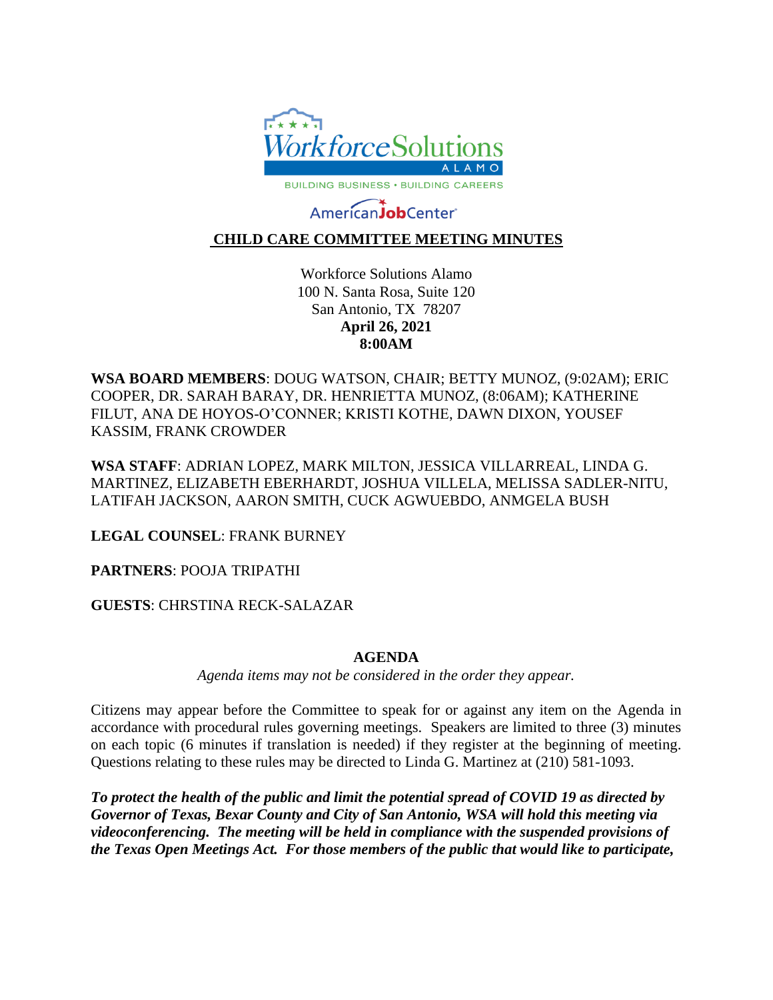

# AmericanJobCenter

# **CHILD CARE COMMITTEE MEETING MINUTES**

Workforce Solutions Alamo 100 N. Santa Rosa, Suite 120 San Antonio, TX 78207 **April 26, 2021 8:00AM**

**WSA BOARD MEMBERS**: DOUG WATSON, CHAIR; BETTY MUNOZ, (9:02AM); ERIC COOPER, DR. SARAH BARAY, DR. HENRIETTA MUNOZ, (8:06AM); KATHERINE FILUT, ANA DE HOYOS-O'CONNER; KRISTI KOTHE, DAWN DIXON, YOUSEF KASSIM, FRANK CROWDER

**WSA STAFF**: ADRIAN LOPEZ, MARK MILTON, JESSICA VILLARREAL, LINDA G. MARTINEZ, ELIZABETH EBERHARDT, JOSHUA VILLELA, MELISSA SADLER-NITU, LATIFAH JACKSON, AARON SMITH, CUCK AGWUEBDO, ANMGELA BUSH

**LEGAL COUNSEL**: FRANK BURNEY

**PARTNERS**: POOJA TRIPATHI

### **GUESTS**: CHRSTINA RECK-SALAZAR

#### **AGENDA**

*Agenda items may not be considered in the order they appear.*

Citizens may appear before the Committee to speak for or against any item on the Agenda in accordance with procedural rules governing meetings. Speakers are limited to three (3) minutes on each topic (6 minutes if translation is needed) if they register at the beginning of meeting. Questions relating to these rules may be directed to Linda G. Martinez at (210) 581-1093.

*To protect the health of the public and limit the potential spread of COVID 19 as directed by Governor of Texas, Bexar County and City of San Antonio, WSA will hold this meeting via videoconferencing. The meeting will be held in compliance with the suspended provisions of the Texas Open Meetings Act. For those members of the public that would like to participate,*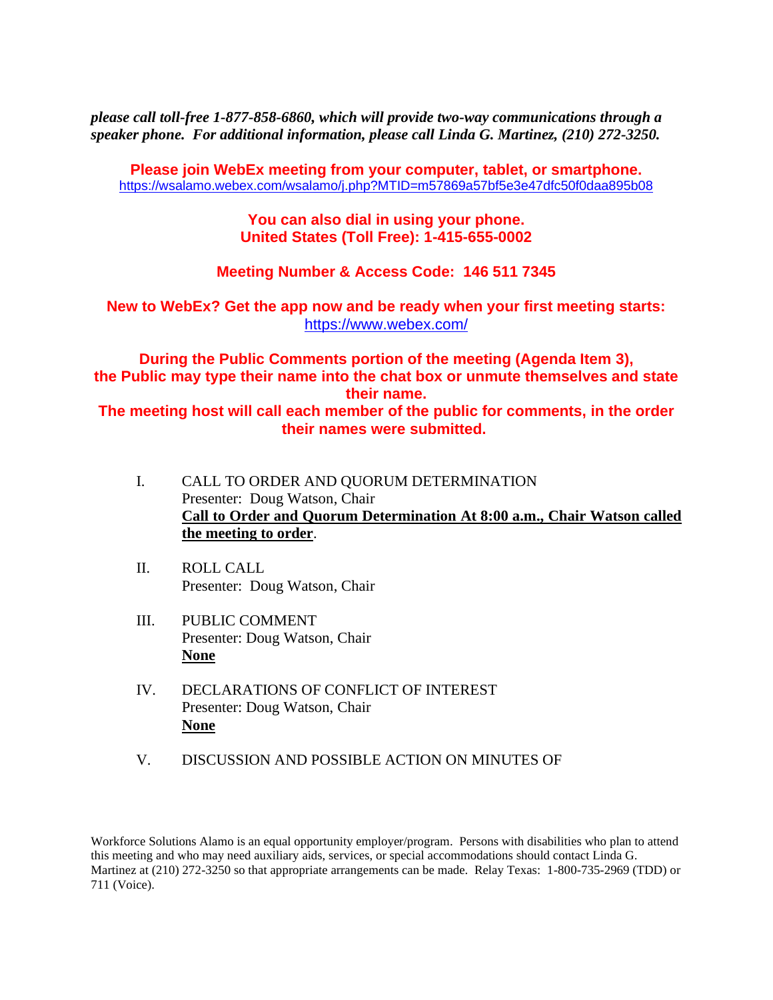*please call toll-free 1-877-858-6860, which will provide two-way communications through a speaker phone. For additional information, please call Linda G. Martinez, (210) 272-3250.* 

**Please join WebEx meeting from your computer, tablet, or smartphone.**  <https://wsalamo.webex.com/wsalamo/j.php?MTID=m57869a57bf5e3e47dfc50f0daa895b08>

> **You can also dial in using your phone. United States (Toll Free): 1-415-655-0002**

**Meeting Number & Access Code: 146 511 7345**

**New to WebEx? Get the app now and be ready when your first meeting starts:**  <https://www.webex.com/>

**During the Public Comments portion of the meeting (Agenda Item 3), the Public may type their name into the chat box or unmute themselves and state their name. The meeting host will call each member of the public for comments, in the order** 

**their names were submitted.**

- I. CALL TO ORDER AND QUORUM DETERMINATION Presenter: Doug Watson, Chair **Call to Order and Quorum Determination At 8:00 a.m., Chair Watson called the meeting to order**.
- II. ROLL CALL Presenter: Doug Watson, Chair
- III. PUBLIC COMMENT Presenter: Doug Watson, Chair **None**
- IV. DECLARATIONS OF CONFLICT OF INTEREST Presenter: Doug Watson, Chair **None**
- V. DISCUSSION AND POSSIBLE ACTION ON MINUTES OF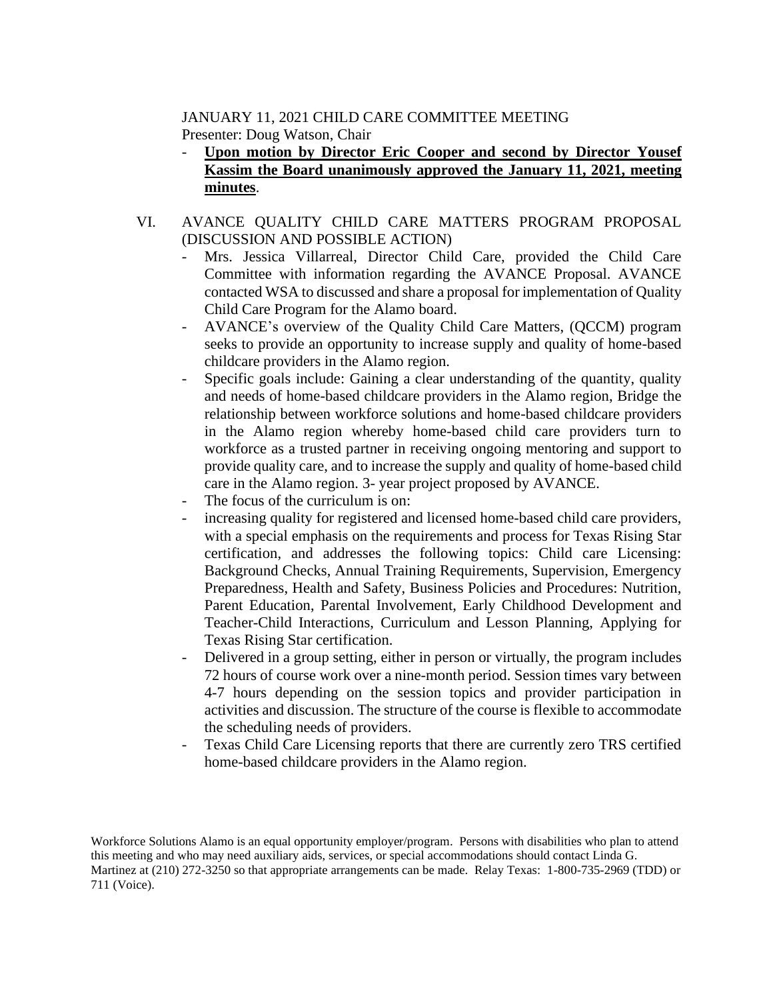## JANUARY 11, 2021 CHILD CARE COMMITTEE MEETING Presenter: Doug Watson, Chair

- **Upon motion by Director Eric Cooper and second by Director Yousef Kassim the Board unanimously approved the January 11, 2021, meeting minutes**.

## VI. AVANCE QUALITY CHILD CARE MATTERS PROGRAM PROPOSAL (DISCUSSION AND POSSIBLE ACTION)

- Mrs. Jessica Villarreal, Director Child Care, provided the Child Care Committee with information regarding the AVANCE Proposal. AVANCE contacted WSA to discussed and share a proposal for implementation of Quality Child Care Program for the Alamo board.
- AVANCE's overview of the Quality Child Care Matters, (QCCM) program seeks to provide an opportunity to increase supply and quality of home-based childcare providers in the Alamo region.
- Specific goals include: Gaining a clear understanding of the quantity, quality and needs of home-based childcare providers in the Alamo region, Bridge the relationship between workforce solutions and home-based childcare providers in the Alamo region whereby home-based child care providers turn to workforce as a trusted partner in receiving ongoing mentoring and support to provide quality care, and to increase the supply and quality of home-based child care in the Alamo region. 3- year project proposed by AVANCE.
- The focus of the curriculum is on:
- increasing quality for registered and licensed home-based child care providers, with a special emphasis on the requirements and process for Texas Rising Star certification, and addresses the following topics: Child care Licensing: Background Checks, Annual Training Requirements, Supervision, Emergency Preparedness, Health and Safety, Business Policies and Procedures: Nutrition, Parent Education, Parental Involvement, Early Childhood Development and Teacher-Child Interactions, Curriculum and Lesson Planning, Applying for Texas Rising Star certification.
- Delivered in a group setting, either in person or virtually, the program includes 72 hours of course work over a nine-month period. Session times vary between 4-7 hours depending on the session topics and provider participation in activities and discussion. The structure of the course is flexible to accommodate the scheduling needs of providers.
- Texas Child Care Licensing reports that there are currently zero TRS certified home-based childcare providers in the Alamo region.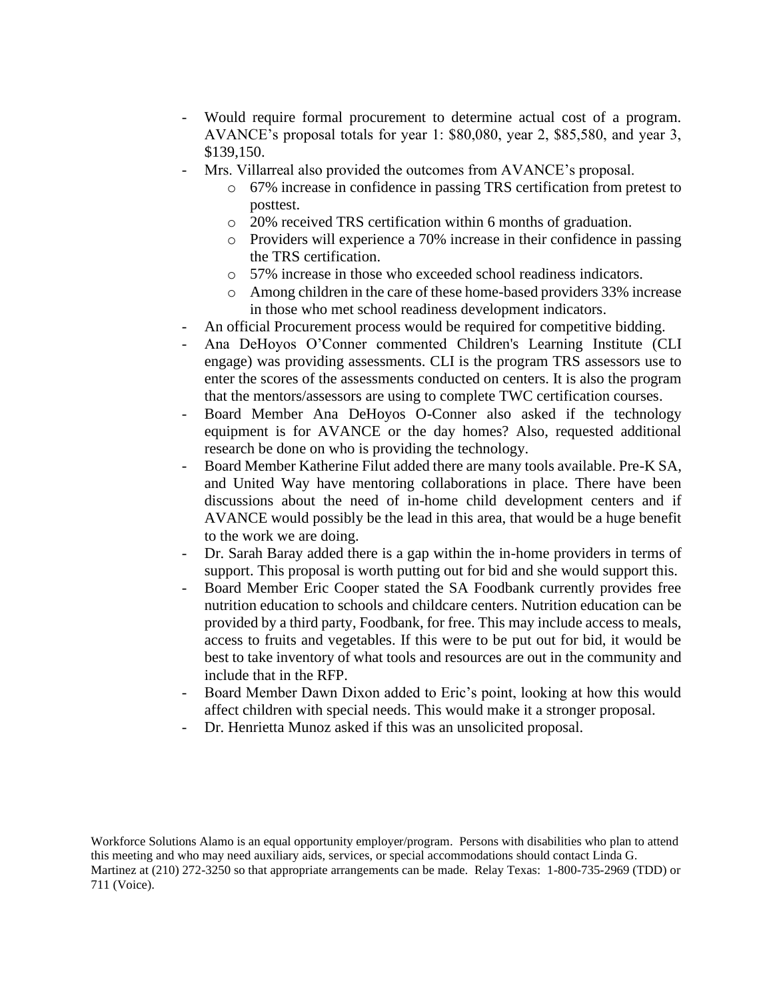- Would require formal procurement to determine actual cost of a program. AVANCE's proposal totals for year 1: \$80,080, year 2, \$85,580, and year 3, \$139,150.
- Mrs. Villarreal also provided the outcomes from AVANCE's proposal.
	- o 67% increase in confidence in passing TRS certification from pretest to posttest.
	- o 20% received TRS certification within 6 months of graduation.
	- o Providers will experience a 70% increase in their confidence in passing the TRS certification.
	- o 57% increase in those who exceeded school readiness indicators.
	- o Among children in the care of these home-based providers 33% increase in those who met school readiness development indicators.
- An official Procurement process would be required for competitive bidding.
- Ana DeHoyos O'Conner commented Children's Learning Institute (CLI engage) was providing assessments. CLI is the program TRS assessors use to enter the scores of the assessments conducted on centers. It is also the program that the mentors/assessors are using to complete TWC certification courses.
- Board Member Ana DeHoyos O-Conner also asked if the technology equipment is for AVANCE or the day homes? Also, requested additional research be done on who is providing the technology.
- Board Member Katherine Filut added there are many tools available. Pre-K SA, and United Way have mentoring collaborations in place. There have been discussions about the need of in-home child development centers and if AVANCE would possibly be the lead in this area, that would be a huge benefit to the work we are doing.
- Dr. Sarah Baray added there is a gap within the in-home providers in terms of support. This proposal is worth putting out for bid and she would support this.
- Board Member Eric Cooper stated the SA Foodbank currently provides free nutrition education to schools and childcare centers. Nutrition education can be provided by a third party, Foodbank, for free. This may include access to meals, access to fruits and vegetables. If this were to be put out for bid, it would be best to take inventory of what tools and resources are out in the community and include that in the RFP.
- Board Member Dawn Dixon added to Eric's point, looking at how this would affect children with special needs. This would make it a stronger proposal.
- Dr. Henrietta Munoz asked if this was an unsolicited proposal.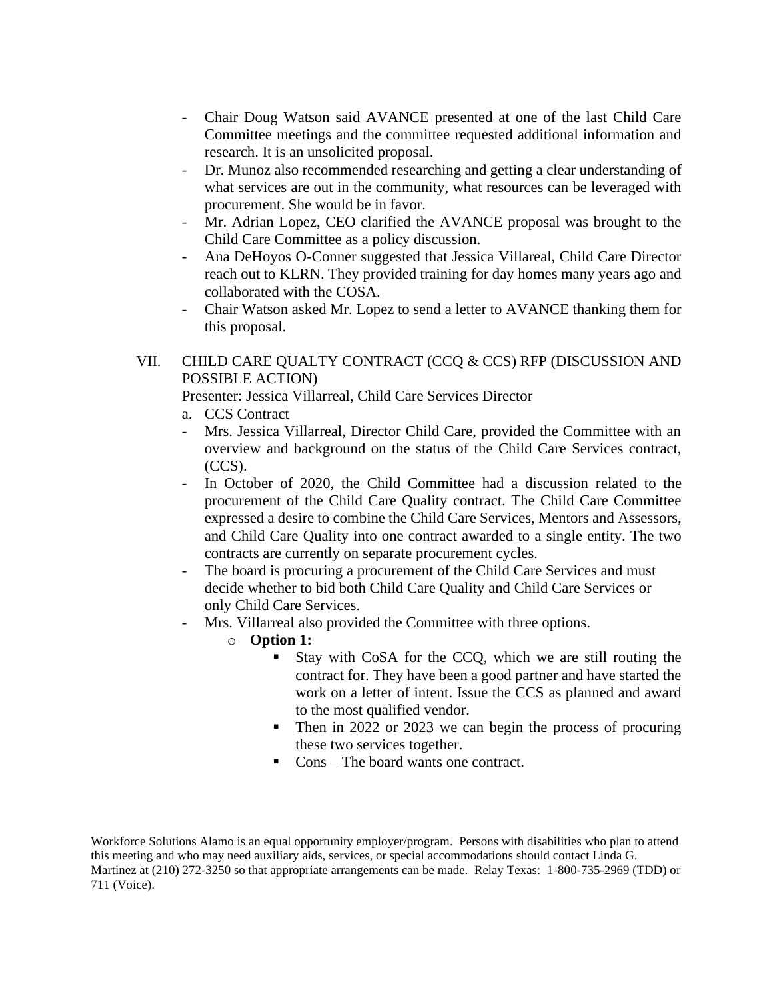- Chair Doug Watson said AVANCE presented at one of the last Child Care Committee meetings and the committee requested additional information and research. It is an unsolicited proposal.
- Dr. Munoz also recommended researching and getting a clear understanding of what services are out in the community, what resources can be leveraged with procurement. She would be in favor.
- Mr. Adrian Lopez, CEO clarified the AVANCE proposal was brought to the Child Care Committee as a policy discussion.
- Ana DeHoyos O-Conner suggested that Jessica Villareal, Child Care Director reach out to KLRN. They provided training for day homes many years ago and collaborated with the COSA.
- Chair Watson asked Mr. Lopez to send a letter to AVANCE thanking them for this proposal.

## VII. CHILD CARE QUALTY CONTRACT (CCQ & CCS) RFP (DISCUSSION AND POSSIBLE ACTION)

Presenter: Jessica Villarreal, Child Care Services Director

- a. CCS Contract
- Mrs. Jessica Villarreal, Director Child Care, provided the Committee with an overview and background on the status of the Child Care Services contract, (CCS).
- In October of 2020, the Child Committee had a discussion related to the procurement of the Child Care Quality contract. The Child Care Committee expressed a desire to combine the Child Care Services, Mentors and Assessors, and Child Care Quality into one contract awarded to a single entity. The two contracts are currently on separate procurement cycles.
- The board is procuring a procurement of the Child Care Services and must decide whether to bid both Child Care Quality and Child Care Services or only Child Care Services.
- Mrs. Villarreal also provided the Committee with three options.
	- o **Option 1:**
		- Stay with CoSA for the CCQ, which we are still routing the contract for. They have been a good partner and have started the work on a letter of intent. Issue the CCS as planned and award to the most qualified vendor.
		- Then in 2022 or 2023 we can begin the process of procuring these two services together.
		- Cons The board wants one contract.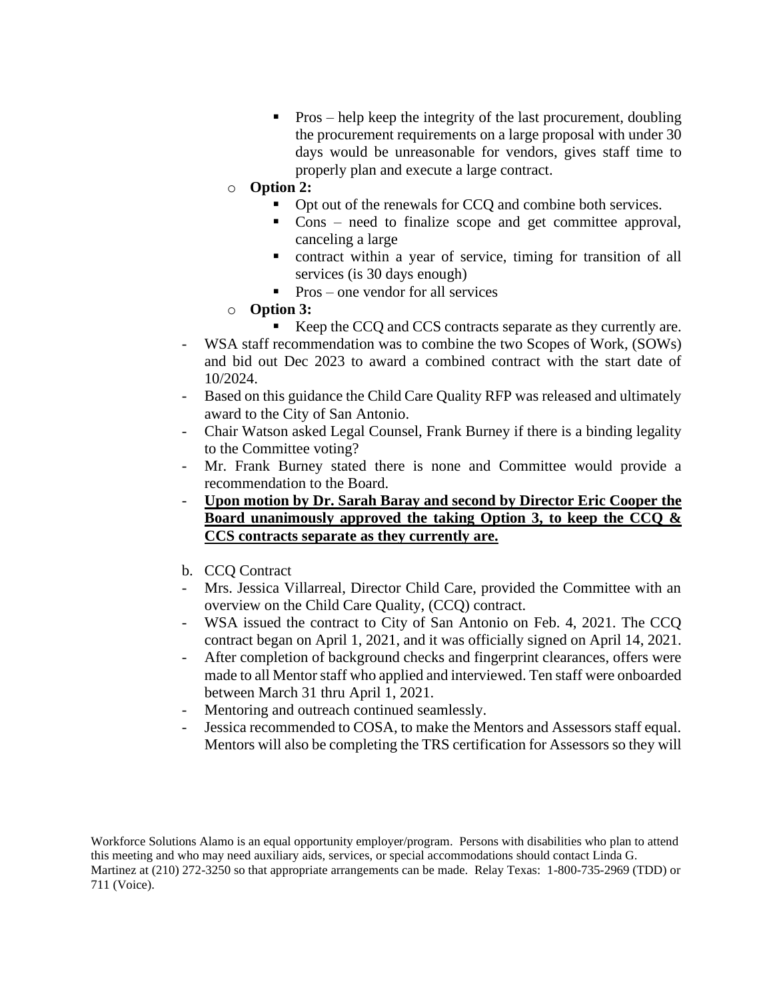- $\blacksquare$  Pros help keep the integrity of the last procurement, doubling the procurement requirements on a large proposal with under 30 days would be unreasonable for vendors, gives staff time to properly plan and execute a large contract.
- o **Option 2:** 
	- Opt out of the renewals for CCQ and combine both services.
	- Cons need to finalize scope and get committee approval, canceling a large
	- contract within a year of service, timing for transition of all services (is 30 days enough)
	- $\blacksquare$  Pros one vendor for all services
- o **Option 3:**
	- Keep the CCQ and CCS contracts separate as they currently are.
- WSA staff recommendation was to combine the two Scopes of Work, (SOWs) and bid out Dec 2023 to award a combined contract with the start date of 10/2024.
- Based on this guidance the Child Care Quality RFP was released and ultimately award to the City of San Antonio.
- Chair Watson asked Legal Counsel, Frank Burney if there is a binding legality to the Committee voting?
- Mr. Frank Burney stated there is none and Committee would provide a recommendation to the Board.
- **Upon motion by Dr. Sarah Baray and second by Director Eric Cooper the Board unanimously approved the taking Option 3, to keep the CCQ & CCS contracts separate as they currently are.**
- b. CCQ Contract
- Mrs. Jessica Villarreal, Director Child Care, provided the Committee with an overview on the Child Care Quality, (CCQ) contract.
- WSA issued the contract to City of San Antonio on Feb. 4, 2021. The CCQ contract began on April 1, 2021, and it was officially signed on April 14, 2021.
- After completion of background checks and fingerprint clearances, offers were made to all Mentor staff who applied and interviewed. Ten staff were onboarded between March 31 thru April 1, 2021.
- Mentoring and outreach continued seamlessly.
- Jessica recommended to COSA, to make the Mentors and Assessors staff equal. Mentors will also be completing the TRS certification for Assessors so they will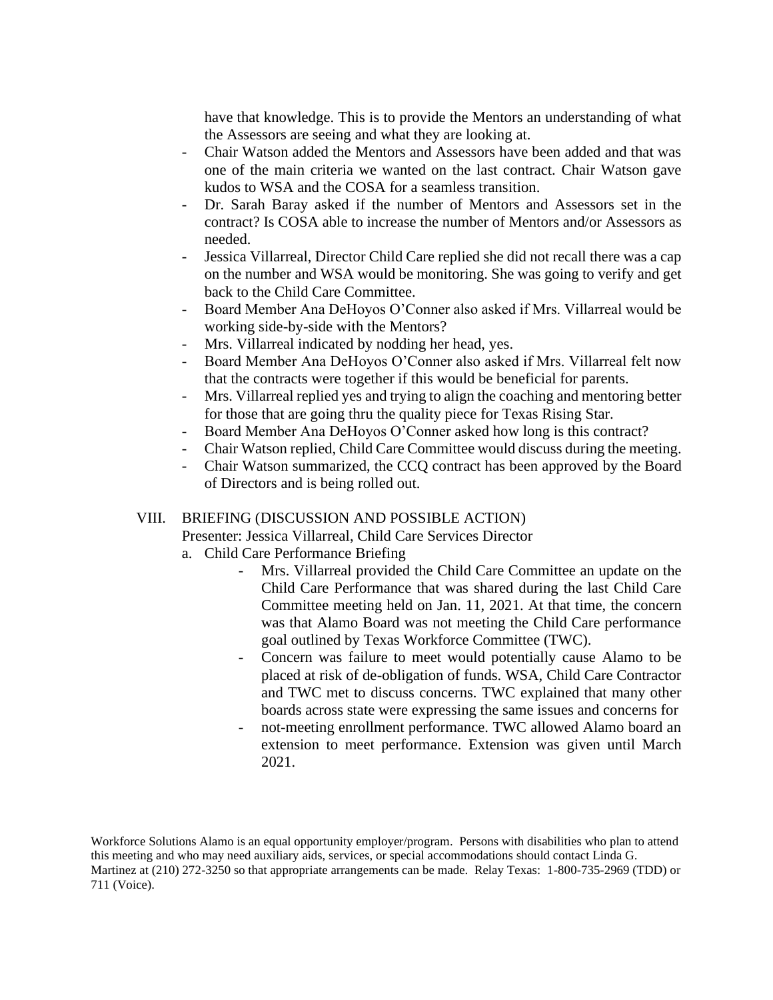have that knowledge. This is to provide the Mentors an understanding of what the Assessors are seeing and what they are looking at.

- Chair Watson added the Mentors and Assessors have been added and that was one of the main criteria we wanted on the last contract. Chair Watson gave kudos to WSA and the COSA for a seamless transition.
- Dr. Sarah Baray asked if the number of Mentors and Assessors set in the contract? Is COSA able to increase the number of Mentors and/or Assessors as needed.
- Jessica Villarreal, Director Child Care replied she did not recall there was a cap on the number and WSA would be monitoring. She was going to verify and get back to the Child Care Committee.
- Board Member Ana DeHoyos O'Conner also asked if Mrs. Villarreal would be working side-by-side with the Mentors?
- Mrs. Villarreal indicated by nodding her head, yes.
- Board Member Ana DeHoyos O'Conner also asked if Mrs. Villarreal felt now that the contracts were together if this would be beneficial for parents.
- Mrs. Villarreal replied yes and trying to align the coaching and mentoring better for those that are going thru the quality piece for Texas Rising Star.
- Board Member Ana DeHoyos O'Conner asked how long is this contract?
- Chair Watson replied, Child Care Committee would discuss during the meeting.
- Chair Watson summarized, the CCQ contract has been approved by the Board of Directors and is being rolled out.

### VIII. BRIEFING (DISCUSSION AND POSSIBLE ACTION)

Presenter: Jessica Villarreal, Child Care Services Director

- a. Child Care Performance Briefing
	- Mrs. Villarreal provided the Child Care Committee an update on the Child Care Performance that was shared during the last Child Care Committee meeting held on Jan. 11, 2021. At that time, the concern was that Alamo Board was not meeting the Child Care performance goal outlined by Texas Workforce Committee (TWC).
	- Concern was failure to meet would potentially cause Alamo to be placed at risk of de-obligation of funds. WSA, Child Care Contractor and TWC met to discuss concerns. TWC explained that many other boards across state were expressing the same issues and concerns for
		- not-meeting enrollment performance. TWC allowed Alamo board an extension to meet performance. Extension was given until March 2021.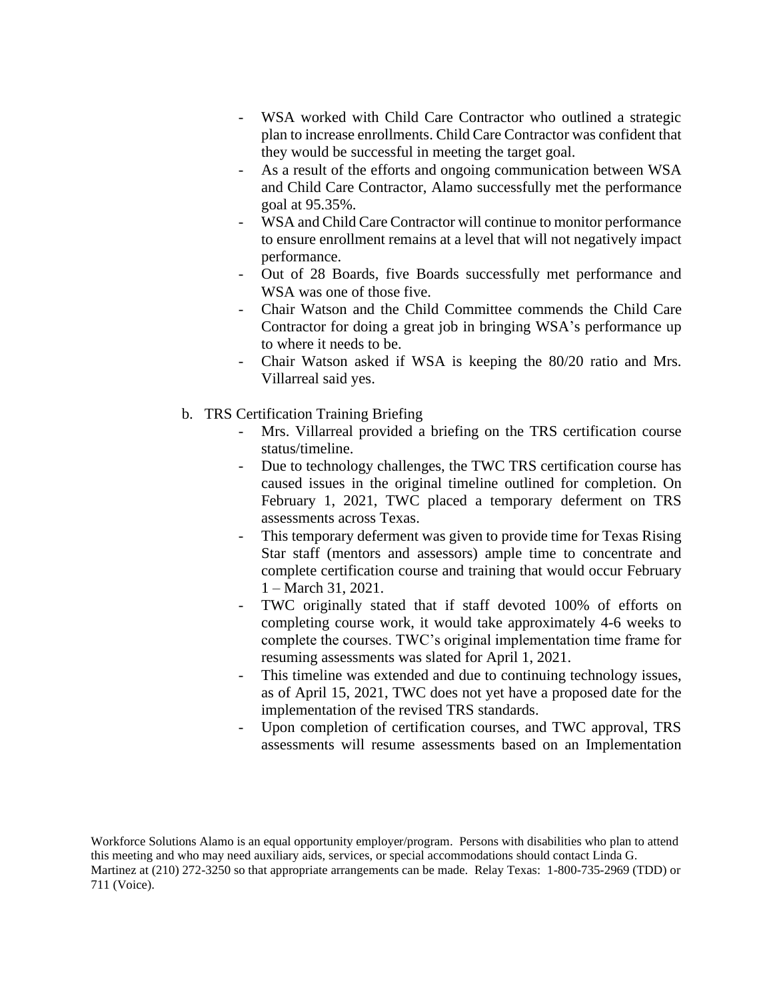- WSA worked with Child Care Contractor who outlined a strategic plan to increase enrollments. Child Care Contractor was confident that they would be successful in meeting the target goal.
- As a result of the efforts and ongoing communication between WSA and Child Care Contractor, Alamo successfully met the performance goal at 95.35%.
- WSA and Child Care Contractor will continue to monitor performance to ensure enrollment remains at a level that will not negatively impact performance.
- Out of 28 Boards, five Boards successfully met performance and WSA was one of those five.
- Chair Watson and the Child Committee commends the Child Care Contractor for doing a great job in bringing WSA's performance up to where it needs to be.
- Chair Watson asked if WSA is keeping the 80/20 ratio and Mrs. Villarreal said yes.
- b. TRS Certification Training Briefing
	- Mrs. Villarreal provided a briefing on the TRS certification course status/timeline.
	- Due to technology challenges, the TWC TRS certification course has caused issues in the original timeline outlined for completion. On February 1, 2021, TWC placed a temporary deferment on TRS assessments across Texas.
	- This temporary deferment was given to provide time for Texas Rising Star staff (mentors and assessors) ample time to concentrate and complete certification course and training that would occur February 1 – March 31, 2021.
	- TWC originally stated that if staff devoted 100% of efforts on completing course work, it would take approximately 4-6 weeks to complete the courses. TWC's original implementation time frame for resuming assessments was slated for April 1, 2021.
	- This timeline was extended and due to continuing technology issues, as of April 15, 2021, TWC does not yet have a proposed date for the implementation of the revised TRS standards.
	- Upon completion of certification courses, and TWC approval, TRS assessments will resume assessments based on an Implementation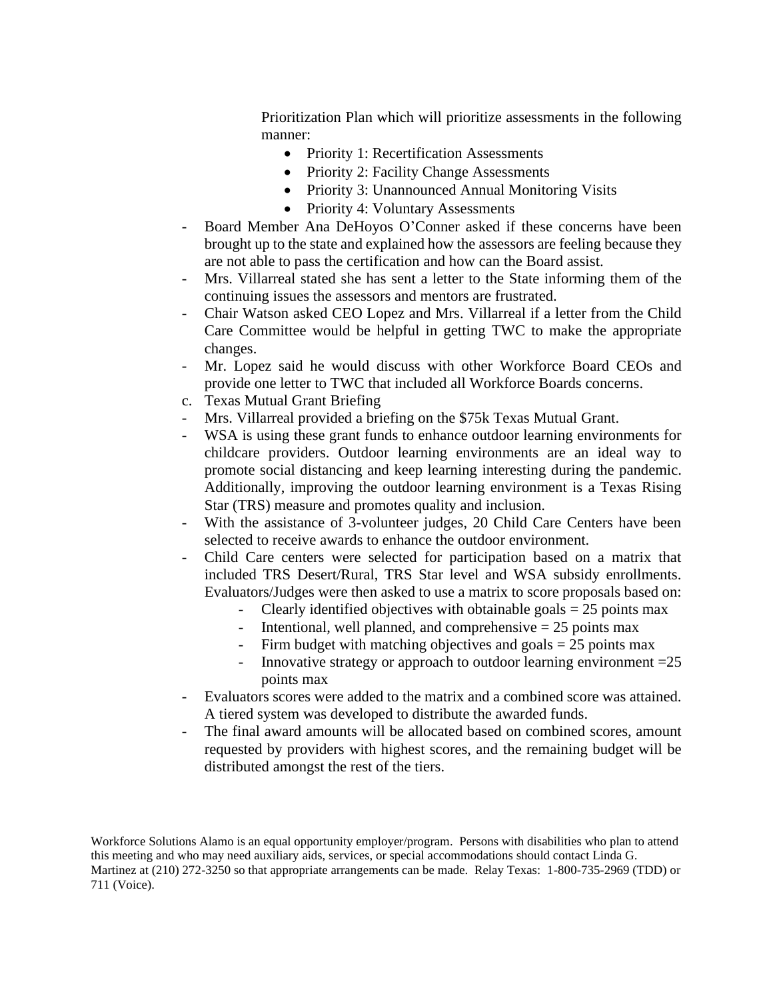Prioritization Plan which will prioritize assessments in the following manner:

- Priority 1: Recertification Assessments
- Priority 2: Facility Change Assessments
- Priority 3: Unannounced Annual Monitoring Visits
- Priority 4: Voluntary Assessments
- Board Member Ana DeHoyos O'Conner asked if these concerns have been brought up to the state and explained how the assessors are feeling because they are not able to pass the certification and how can the Board assist.
- Mrs. Villarreal stated she has sent a letter to the State informing them of the continuing issues the assessors and mentors are frustrated.
- Chair Watson asked CEO Lopez and Mrs. Villarreal if a letter from the Child Care Committee would be helpful in getting TWC to make the appropriate changes.
- Mr. Lopez said he would discuss with other Workforce Board CEOs and provide one letter to TWC that included all Workforce Boards concerns.
- c. Texas Mutual Grant Briefing
- Mrs. Villarreal provided a briefing on the \$75k Texas Mutual Grant.
- WSA is using these grant funds to enhance outdoor learning environments for childcare providers. Outdoor learning environments are an ideal way to promote social distancing and keep learning interesting during the pandemic. Additionally, improving the outdoor learning environment is a Texas Rising Star (TRS) measure and promotes quality and inclusion.
- With the assistance of 3-volunteer judges, 20 Child Care Centers have been selected to receive awards to enhance the outdoor environment.
- Child Care centers were selected for participation based on a matrix that included TRS Desert/Rural, TRS Star level and WSA subsidy enrollments. Evaluators/Judges were then asked to use a matrix to score proposals based on:
	- Clearly identified objectives with obtainable goals  $= 25$  points max
	- Intentional, well planned, and comprehensive  $= 25$  points max
	- Firm budget with matching objectives and goals = 25 points max
	- Innovative strategy or approach to outdoor learning environment = 25 points max
- Evaluators scores were added to the matrix and a combined score was attained. A tiered system was developed to distribute the awarded funds.
- The final award amounts will be allocated based on combined scores, amount requested by providers with highest scores, and the remaining budget will be distributed amongst the rest of the tiers.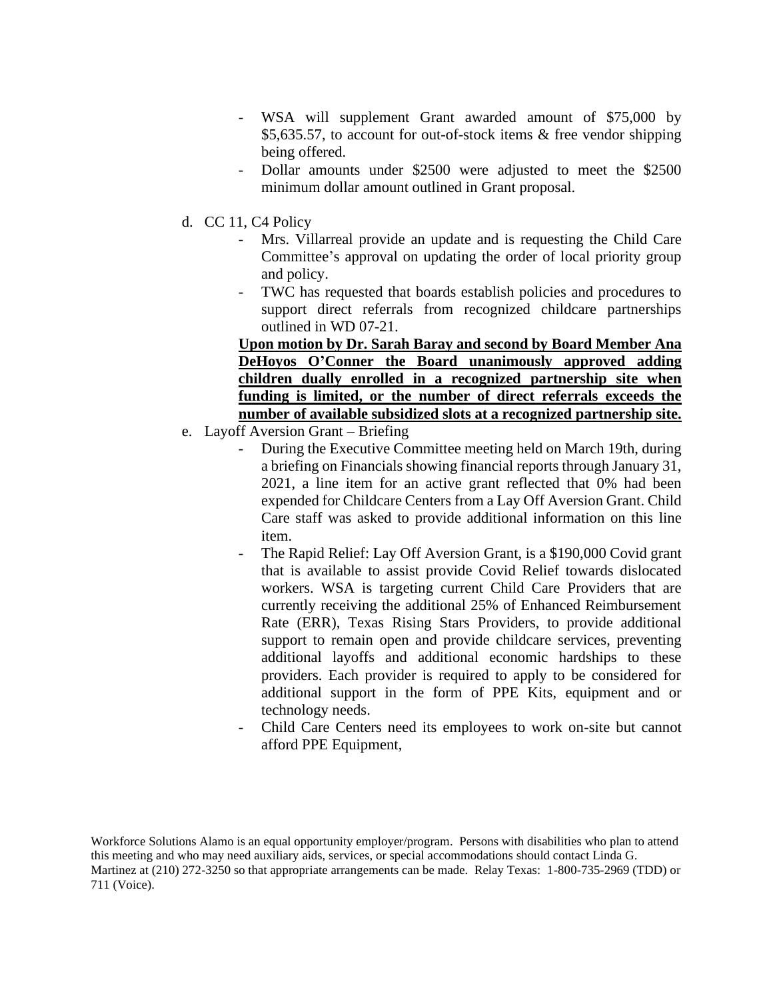- WSA will supplement Grant awarded amount of \$75,000 by \$5,635.57, to account for out-of-stock items & free vendor shipping being offered.
- Dollar amounts under \$2500 were adjusted to meet the \$2500 minimum dollar amount outlined in Grant proposal.
- d. CC 11, C4 Policy
	- Mrs. Villarreal provide an update and is requesting the Child Care Committee's approval on updating the order of local priority group and policy.
	- TWC has requested that boards establish policies and procedures to support direct referrals from recognized childcare partnerships outlined in WD 07-21.

**Upon motion by Dr. Sarah Baray and second by Board Member Ana DeHoyos O'Conner the Board unanimously approved adding children dually enrolled in a recognized partnership site when funding is limited, or the number of direct referrals exceeds the number of available subsidized slots at a recognized partnership site.**

- e. Layoff Aversion Grant Briefing
	- During the Executive Committee meeting held on March 19th, during a briefing on Financials showing financial reports through January 31, 2021, a line item for an active grant reflected that 0% had been expended for Childcare Centers from a Lay Off Aversion Grant. Child Care staff was asked to provide additional information on this line item.
	- The Rapid Relief: Lay Off Aversion Grant, is a \$190,000 Covid grant that is available to assist provide Covid Relief towards dislocated workers. WSA is targeting current Child Care Providers that are currently receiving the additional 25% of Enhanced Reimbursement Rate (ERR), Texas Rising Stars Providers, to provide additional support to remain open and provide childcare services, preventing additional layoffs and additional economic hardships to these providers. Each provider is required to apply to be considered for additional support in the form of PPE Kits, equipment and or technology needs.
	- Child Care Centers need its employees to work on-site but cannot afford PPE Equipment,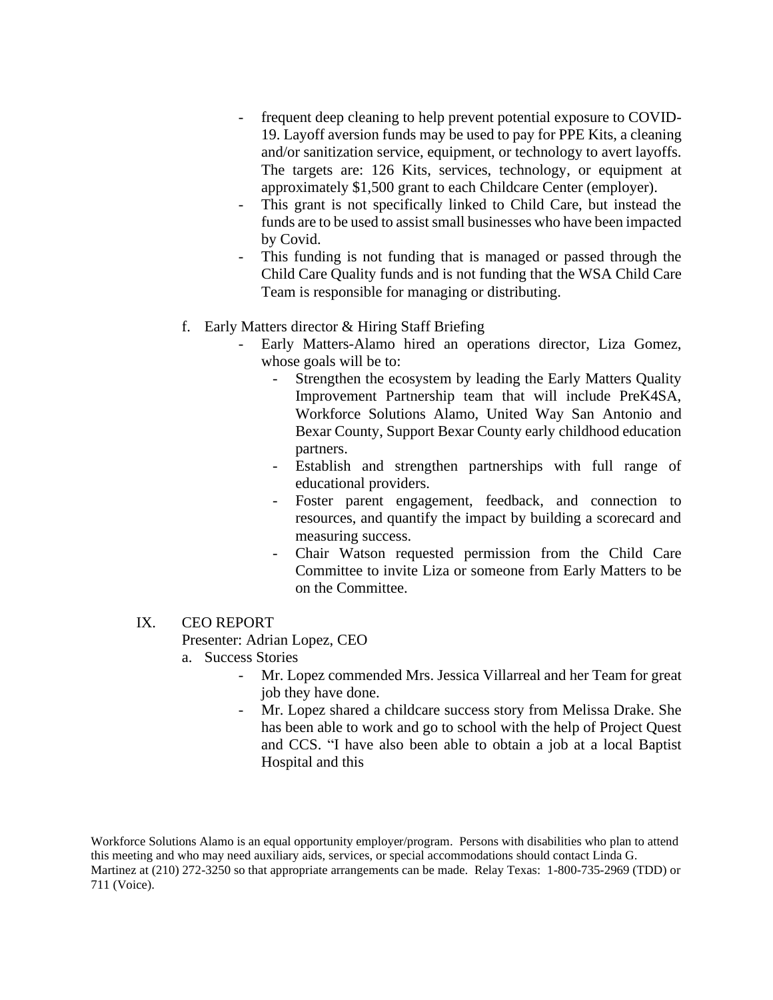- frequent deep cleaning to help prevent potential exposure to COVID-19. Layoff aversion funds may be used to pay for PPE Kits, a cleaning and/or sanitization service, equipment, or technology to avert layoffs. The targets are: 126 Kits, services, technology, or equipment at approximately \$1,500 grant to each Childcare Center (employer).
- This grant is not specifically linked to Child Care, but instead the funds are to be used to assist small businesses who have been impacted by Covid.
- This funding is not funding that is managed or passed through the Child Care Quality funds and is not funding that the WSA Child Care Team is responsible for managing or distributing.
- f. Early Matters director & Hiring Staff Briefing
	- Early Matters-Alamo hired an operations director, Liza Gomez, whose goals will be to:
		- Strengthen the ecosystem by leading the Early Matters Quality Improvement Partnership team that will include PreK4SA, Workforce Solutions Alamo, United Way San Antonio and Bexar County, Support Bexar County early childhood education partners.
		- Establish and strengthen partnerships with full range of educational providers.
		- Foster parent engagement, feedback, and connection to resources, and quantify the impact by building a scorecard and measuring success.
		- Chair Watson requested permission from the Child Care Committee to invite Liza or someone from Early Matters to be on the Committee.

### IX. CEO REPORT

Presenter: Adrian Lopez, CEO

#### a. Success Stories

- Mr. Lopez commended Mrs. Jessica Villarreal and her Team for great job they have done.
- Mr. Lopez shared a childcare success story from Melissa Drake. She has been able to work and go to school with the help of Project Quest and CCS. "I have also been able to obtain a job at a local Baptist Hospital and this